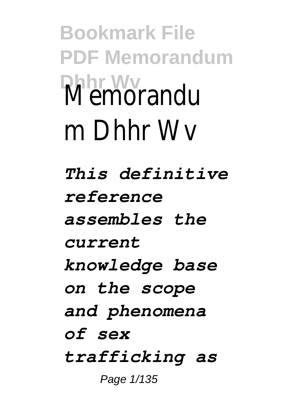**Bookmark File PDF Memorandum Dhhr Wv** Memorandu m Dhhr Wv *This definitive reference assembles the current knowledge base on the scope and phenomena of sex trafficking as*

Page 1/135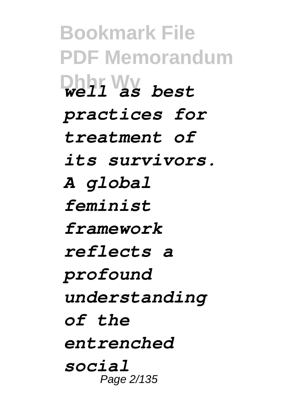**Bookmark File PDF Memorandum Dhhr Wv** *well as best practices for treatment of its survivors. A global feminist framework reflects a profound understanding of the entrenched social* Page 2/135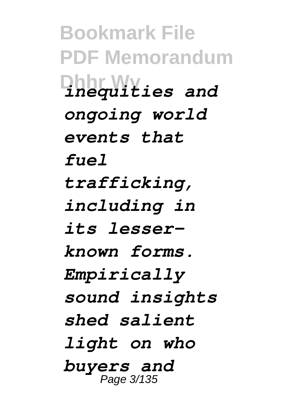**Bookmark File PDF Memorandum Dhhr Wv** *inequities and ongoing world events that fuel trafficking, including in its lesserknown forms. Empirically sound insights shed salient light on who buyers and* Page 3/135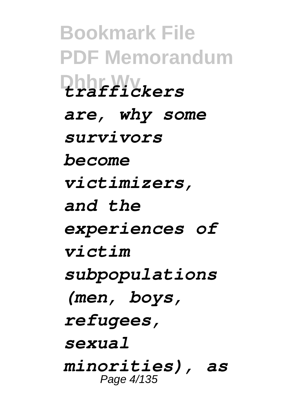**Bookmark File PDF Memorandum Dhhr Wv** *traffickers are, why some survivors become victimizers, and the experiences of victim subpopulations (men, boys, refugees, sexual minorities), as* Page 4/135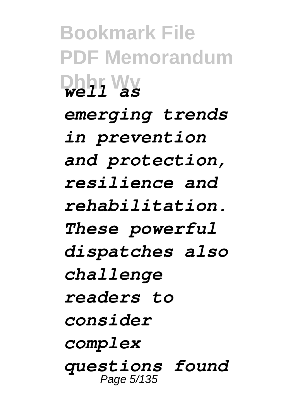**Bookmark File PDF Memorandum Dhhr Wv** *well as emerging trends in prevention and protection, resilience and rehabilitation. These powerful dispatches also challenge readers to consider complex questions found* Page 5/135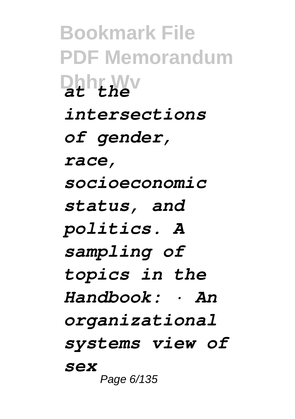**Bookmark File PDF Memorandum Dhhr Wv** *at the intersections of gender, race, socioeconomic status, and politics. A sampling of topics in the Handbook: · An organizational systems view of sex* Page 6/135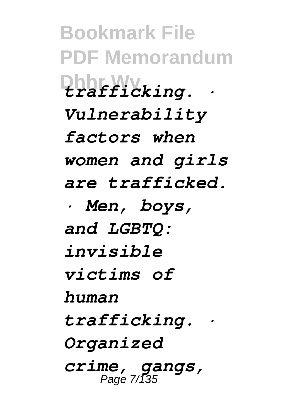**Bookmark File PDF Memorandum Dhhr Wv** *trafficking. · Vulnerability factors when women and girls are trafficked. · Men, boys, and LGBTQ: invisible victims of human trafficking. · Organized crime, gangs,* Page 7/135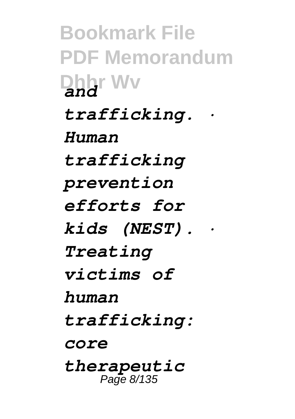**Bookmark File PDF Memorandum Dhhr Wv** *and trafficking. · Human trafficking prevention efforts for kids (NEST). · Treating victims of human trafficking: core therapeutic* Page 8/135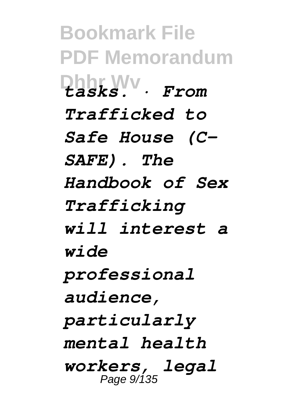**Bookmark File PDF Memorandum Dhhr Wv** *tasks. · From Trafficked to Safe House (C-SAFE). The Handbook of Sex Trafficking will interest a wide professional audience, particularly mental health workers, legal* Page 9/135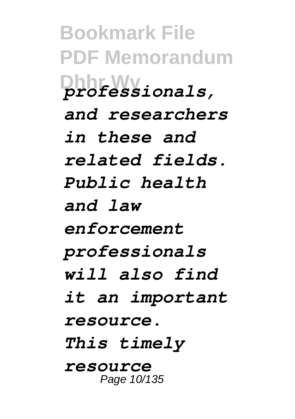**Bookmark File PDF Memorandum Dhhr Wv** *professionals, and researchers in these and related fields. Public health and law enforcement professionals will also find it an important resource. This timely resource* Page 10/135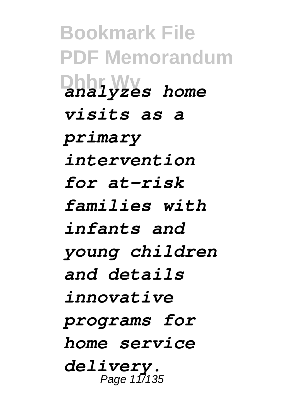**Bookmark File PDF Memorandum Dhhr Wv** *analyzes home visits as a primary intervention for at-risk families with infants and young children and details innovative programs for home service delivery.* Page 11/135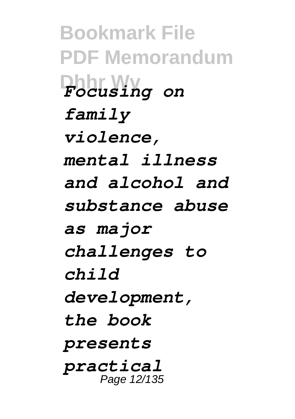**Bookmark File PDF Memorandum Dhhr Wv** *Focusing on family violence, mental illness and alcohol and substance abuse as major challenges to child development, the book presents practical* Page 12/135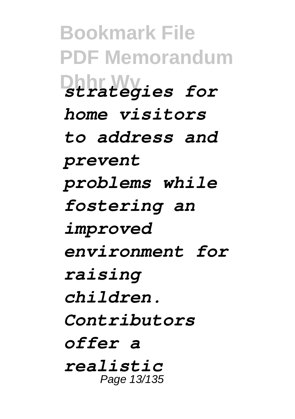**Bookmark File PDF Memorandum Dhhr Wv** *strategies for home visitors to address and prevent problems while fostering an improved environment for raising children. Contributors offer a realistic* Page 13/135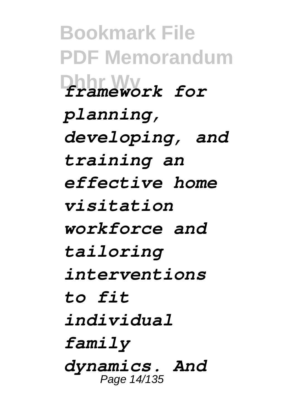**Bookmark File PDF Memorandum Dhhr Wv** *framework for planning, developing, and training an effective home visitation workforce and tailoring interventions to fit individual family dynamics. And* Page 14/135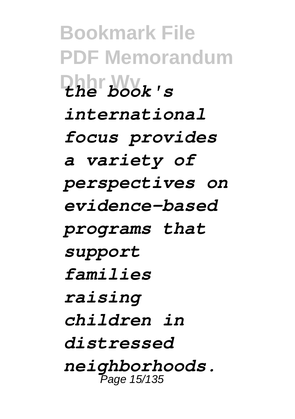**Bookmark File PDF Memorandum Dhhr Wv** *the book's international focus provides a variety of perspectives on evidence-based programs that support families raising children in distressed neighborhoods.* Page 15/135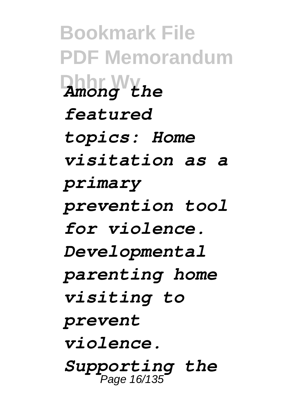**Bookmark File PDF Memorandum Dhhr Wv** *Among the featured topics: Home visitation as a primary prevention tool for violence. Developmental parenting home visiting to prevent violence. Supporting the*  Page 16/135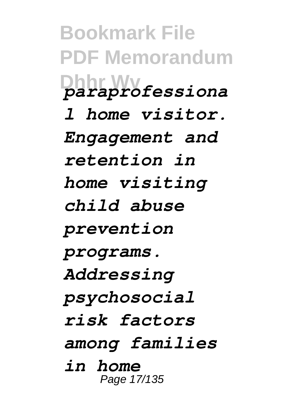**Bookmark File PDF Memorandum Dhhr Wv** *paraprofessiona l home visitor. Engagement and retention in home visiting child abuse prevention programs. Addressing psychosocial risk factors among families in home* Page 17/135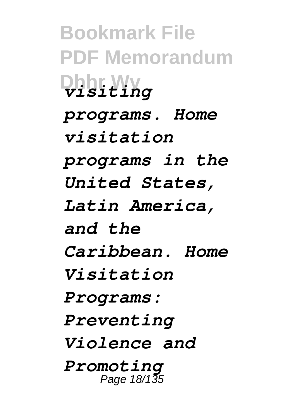**Bookmark File PDF Memorandum Dhhr Wv** *visiting programs. Home visitation programs in the United States, Latin America, and the Caribbean. Home Visitation Programs: Preventing Violence and Promoting* Page 18/135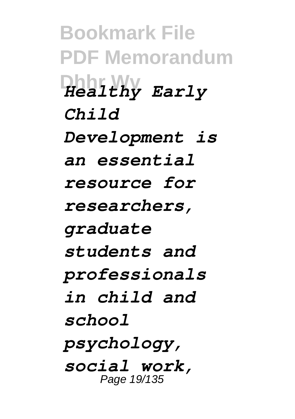**Bookmark File PDF Memorandum Dhhr Wv** *Healthy Early Child Development is an essential resource for researchers, graduate students and professionals in child and school psychology, social work,* Page 19/135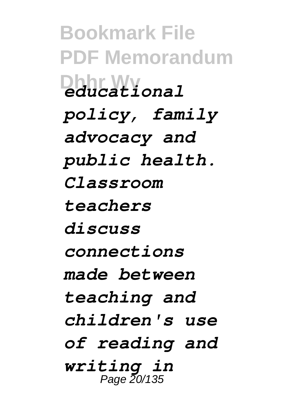**Bookmark File PDF Memorandum Dhhr Wv** *educational policy, family advocacy and public health. Classroom teachers discuss connections made between teaching and children's use of reading and writing in* Page 20/135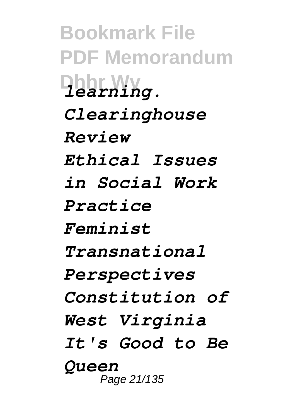**Bookmark File PDF Memorandum Dhhr Wv** *learning. Clearinghouse Review Ethical Issues in Social Work Practice Feminist Transnational Perspectives Constitution of West Virginia It's Good to Be Queen* Page 21/135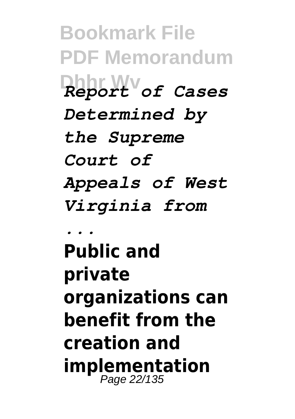**Bookmark File PDF Memorandum Dhhr Wv** *Report of Cases Determined by the Supreme Court of Appeals of West Virginia from ...* **Public and private organizations can benefit from the creation and**

**implementation** Page 22/135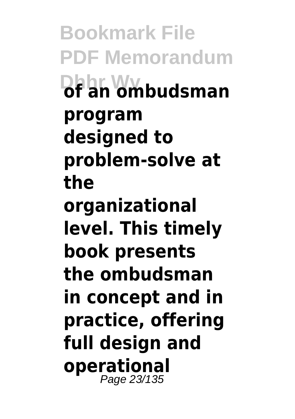**Bookmark File PDF Memorandum Dhhr Wv of an ombudsman program designed to problem-solve at the organizational level. This timely book presents the ombudsman in concept and in practice, offering full design and operational** Page 23/135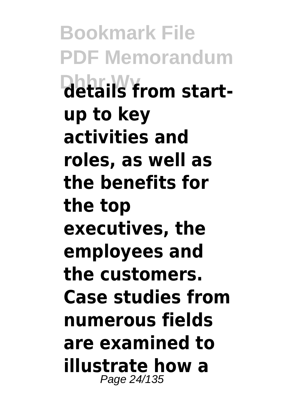**Bookmark File PDF Memorandum Dhhr.Wy**<br>details from start**up to key activities and roles, as well as the benefits for the top executives, the employees and the customers. Case studies from numerous fields are examined to illustrate how a** Page 24/135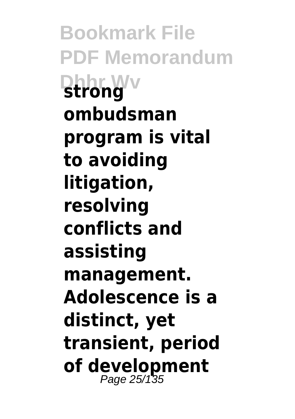**Bookmark File PDF Memorandum Dhhrmwv ombudsman program is vital to avoiding litigation, resolving conflicts and assisting management. Adolescence is a distinct, yet transient, period of development** Page 25/135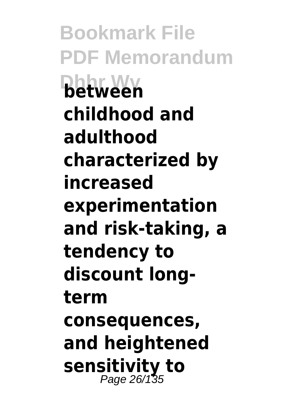**Bookmark File PDF Memorandum Dhhr Wv between childhood and adulthood characterized by increased experimentation and risk-taking, a tendency to discount longterm consequences, and heightened sensitivity to** Page 26/135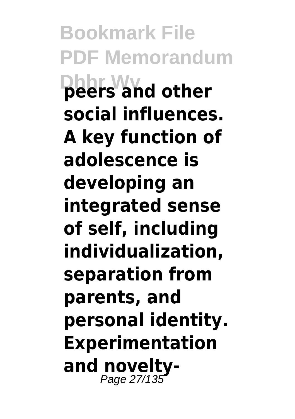**Bookmark File PDF Memorandum Dhhr Wv peers and other social influences. A key function of adolescence is developing an integrated sense of self, including individualization, separation from parents, and personal identity. Experimentation and novelty-**Page 27/135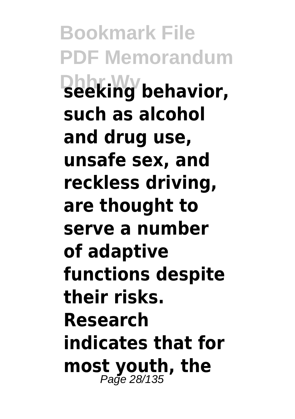**Bookmark File PDF Memorandum Dhhr Wv seeking behavior, such as alcohol and drug use, unsafe sex, and reckless driving, are thought to serve a number of adaptive functions despite their risks. Research indicates that for most youth, the** Page 28/135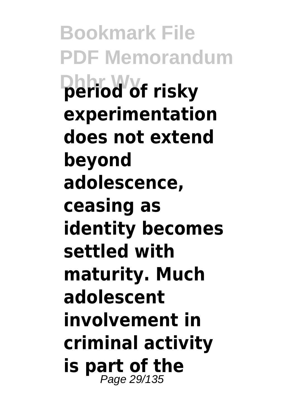**Bookmark File PDF Memorandum Dhhr Wv period of risky experimentation does not extend beyond adolescence, ceasing as identity becomes settled with maturity. Much adolescent involvement in criminal activity is part of the** Page 29/135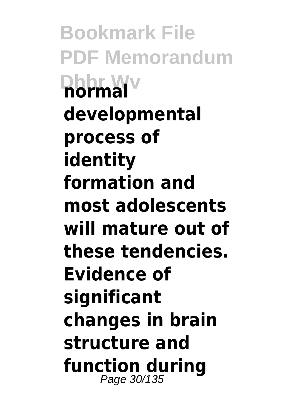**Bookmark File PDF Memorandum Dhhr Wv normal developmental process of identity formation and most adolescents will mature out of these tendencies. Evidence of significant changes in brain structure and function during** Page 30/135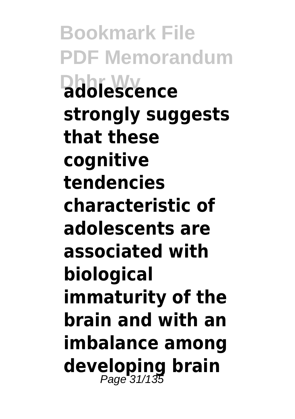**Bookmark File PDF Memorandum DhhieWww.ce strongly suggests that these cognitive tendencies characteristic of adolescents are associated with biological immaturity of the brain and with an imbalance among developing brain** Page 31/135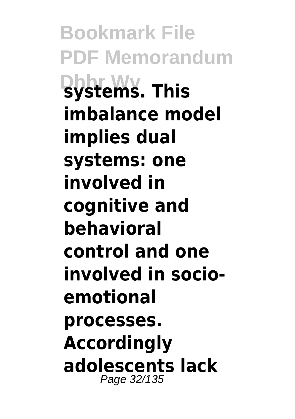**Bookmark File PDF Memorandum Dhhr Wv systems. This imbalance model implies dual systems: one involved in cognitive and behavioral control and one involved in socioemotional processes. Accordingly adolescents lack** Page 32/135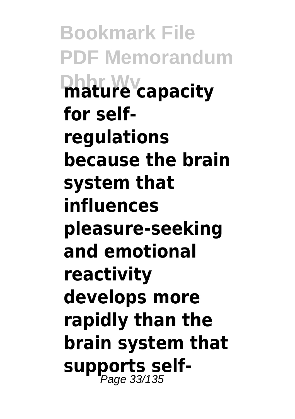**Bookmark File PDF Memorandum Dhhr Wv mature capacity for selfregulations because the brain system that influences pleasure-seeking and emotional reactivity develops more rapidly than the brain system that supports self-**Page 33/135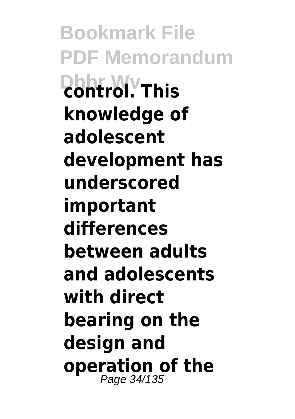**Bookmark File PDF Memorandum Dhhr Wv control. This knowledge of adolescent development has underscored important differences between adults and adolescents with direct bearing on the design and operation of the** Page 34/135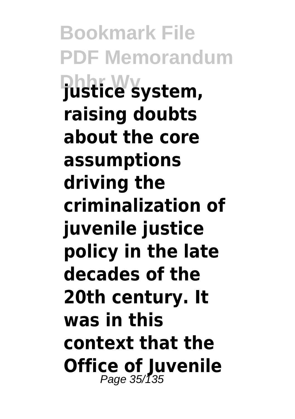**Bookmark File PDF Memorandum Dhhr Wv justice system, raising doubts about the core assumptions driving the criminalization of juvenile justice policy in the late decades of the 20th century. It was in this context that the Office of Juvenile** Page 35/135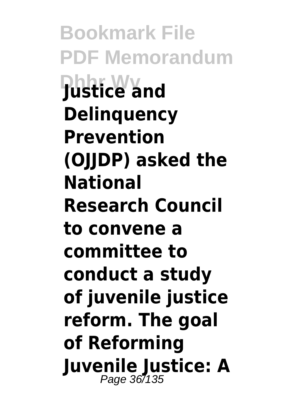**Bookmark File PDF Memorandum Dhhr Wv Justice and Delinquency Prevention (OJJDP) asked the National Research Council to convene a committee to conduct a study of juvenile justice reform. The goal of Reforming Juvenile Justice: A** Page 36/135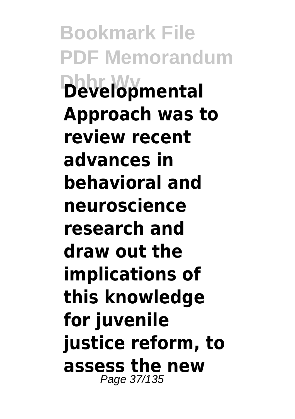**Bookmark File PDF Memorandum Dhhr Wv Developmental Approach was to review recent advances in behavioral and neuroscience research and draw out the implications of this knowledge for juvenile justice reform, to assess the new** Page 37/135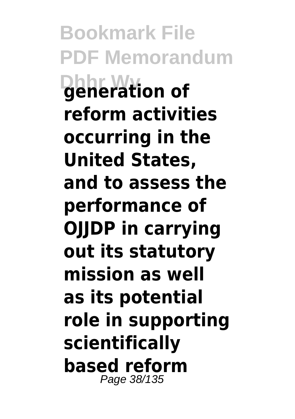**Bookmark File PDF Memorandum Dhhr Wv generation of reform activities occurring in the United States, and to assess the performance of OJJDP in carrying out its statutory mission as well as its potential role in supporting scientifically based reform** Page 38/135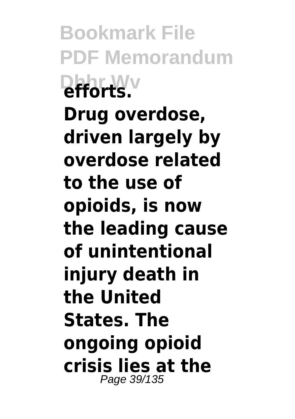**Bookmark File PDF Memorandum Difforts** 

**Drug overdose, driven largely by overdose related to the use of opioids, is now the leading cause of unintentional injury death in the United States. The ongoing opioid crisis lies at the** Page 39/135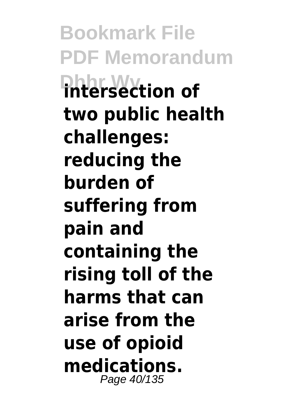**Bookmark File PDF Memorandum Dhhr Wv intersection of two public health challenges: reducing the burden of suffering from pain and containing the rising toll of the harms that can arise from the use of opioid medications.** Page 40/135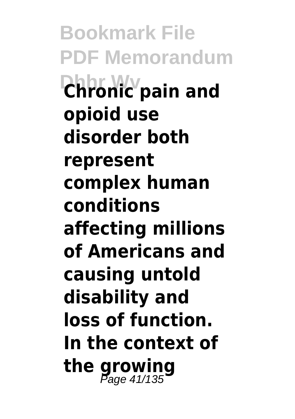**Bookmark File PDF Memorandum Dhhr Wv Chronic pain and opioid use disorder both represent complex human conditions affecting millions of Americans and causing untold disability and loss of function. In the context of the growing** Page 41/135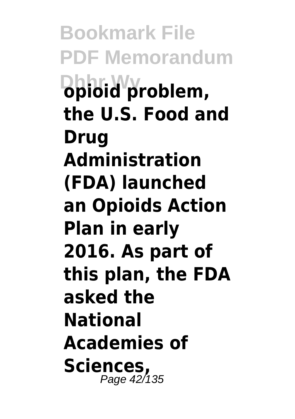**Bookmark File PDF Memorandum Dhhr Wv opioid problem, the U.S. Food and Drug Administration (FDA) launched an Opioids Action Plan in early 2016. As part of this plan, the FDA asked the National Academies of Sciences,** Page 42/135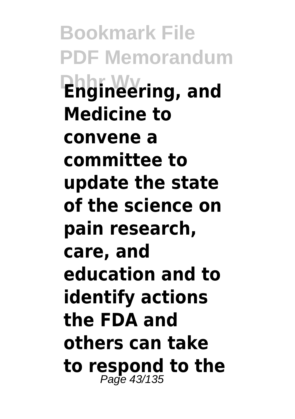**Bookmark File PDF Memorandum Dhhr Wv Engineering, and Medicine to convene a committee to update the state of the science on pain research, care, and education and to identify actions the FDA and others can take to respond to the** Page 43/135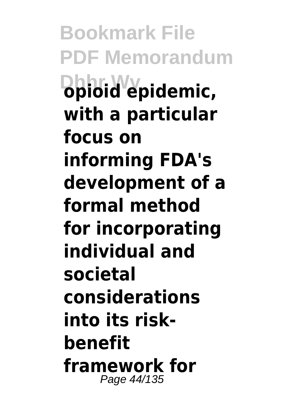**Bookmark File PDF Memorandum Dhhr Wv opioid epidemic, with a particular focus on informing FDA's development of a formal method for incorporating individual and societal considerations into its riskbenefit framework for** Page 44/135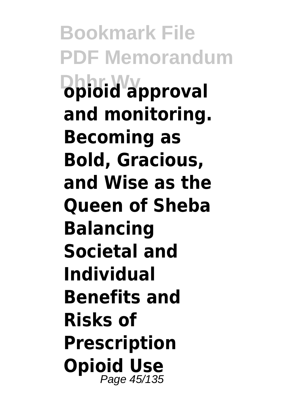**Bookmark File PDF Memorandum Dhhriwwy proval and monitoring. Becoming as Bold, Gracious, and Wise as the Queen of Sheba Balancing Societal and Individual Benefits and Risks of Prescription Opioid Use** Page 45/135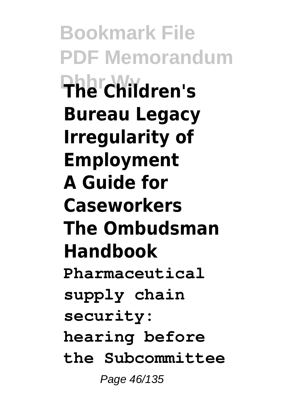**Bookmark File PDF Memorandum Dhhr Wv The Children's Bureau Legacy Irregularity of Employment A Guide for Caseworkers The Ombudsman Handbook Pharmaceutical supply chain security: hearing before the Subcommittee** Page 46/135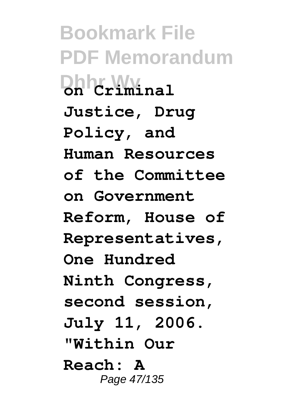**Bookmark File PDF Memorandum Dhhr Wv on Criminal Justice, Drug Policy, and Human Resources of the Committee on Government Reform, House of Representatives, One Hundred Ninth Congress, second session, July 11, 2006. "Within Our Reach: A** Page 47/135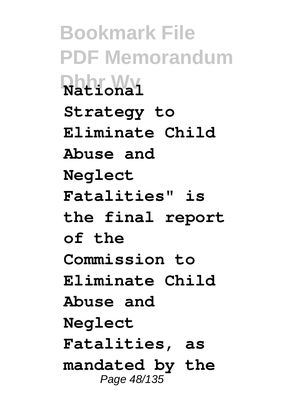**Bookmark File PDF Memorandum Dhhr Wv National Strategy to Eliminate Child Abuse and Neglect Fatalities" is the final report of the Commission to Eliminate Child Abuse and Neglect Fatalities, as mandated by the** Page 48/135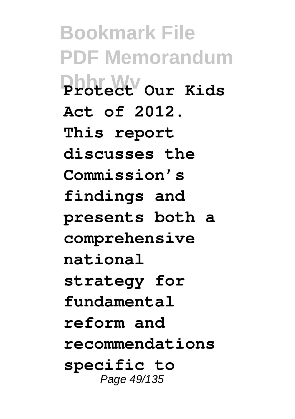**Bookmark File PDF Memorandum Dhhr Wv Protect Our Kids Act of 2012. This report discusses the Commission's findings and presents both a comprehensive national strategy for fundamental reform and recommendations specific to** Page 49/135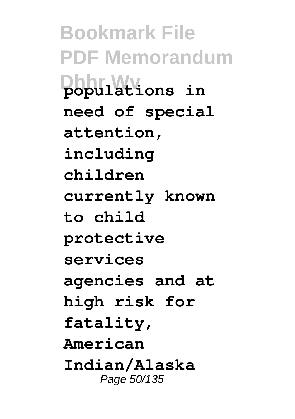**Bookmark File PDF Memorandum Dhhilations** in **need of special attention, including children currently known to child protective services agencies and at high risk for fatality, American Indian/Alaska** Page 50/135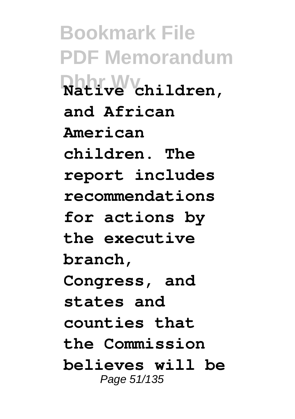**Bookmark File PDF Memorandum Dhhr Wv Native children, and African American children. The report includes recommendations for actions by the executive branch, Congress, and states and counties that the Commission believes will be** Page 51/135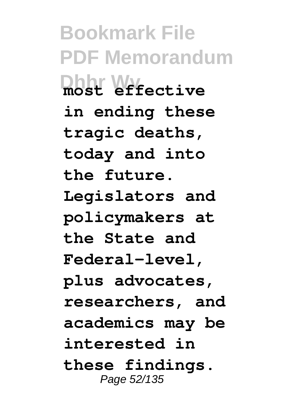**Bookmark File PDF Memorandum Dhhr Wy** *ective* **in ending these tragic deaths, today and into the future. Legislators and policymakers at the State and Federal-level, plus advocates, researchers, and academics may be interested in these findings.** Page 52/135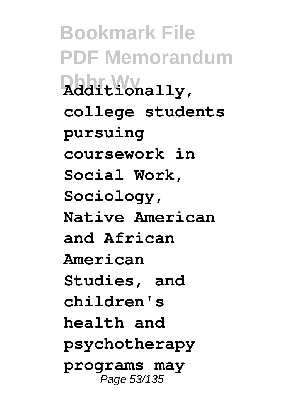**Bookmark File PDF Memorandum Dhhr Wv Additionally, college students pursuing coursework in Social Work, Sociology, Native American and African American Studies, and children's health and psychotherapy programs may** Page 53/135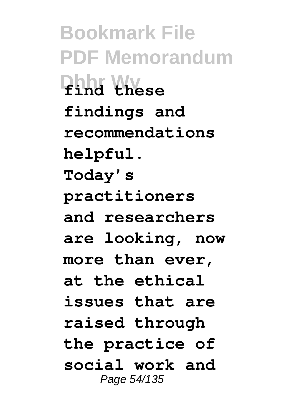**Bookmark File PDF Memorandum Dhhr Wv find these findings and recommendations helpful. Today's practitioners and researchers are looking, now more than ever, at the ethical issues that are raised through the practice of social work and** Page 54/135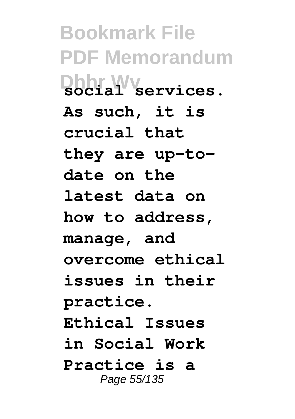**Bookmark File PDF Memorandum Dhhr Wv social services. As such, it is crucial that they are up-todate on the latest data on how to address, manage, and overcome ethical issues in their practice. Ethical Issues in Social Work Practice is a** Page 55/135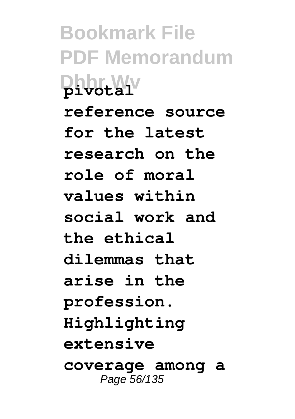**Bookmark File PDF Memorandum Dhhr Wv pivotal reference source for the latest research on the role of moral values within social work and the ethical dilemmas that arise in the profession. Highlighting extensive coverage among a** Page 56/135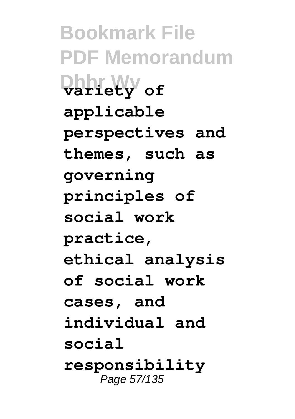**Bookmark File PDF Memorandum Dhhr Wv variety of applicable perspectives and themes, such as governing principles of social work practice, ethical analysis of social work cases, and individual and social responsibility** Page 57/135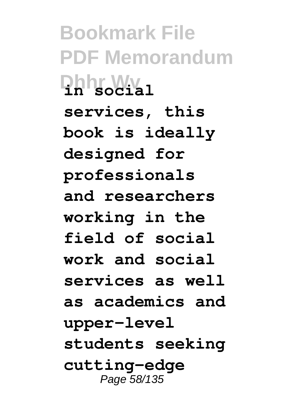**Bookmark File PDF Memorandum Dhhr Wv in social services, this book is ideally designed for professionals and researchers working in the field of social work and social services as well as academics and upper-level students seeking cutting-edge** Page 58/135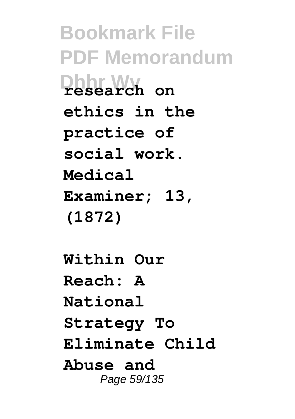**Bookmark File PDF Memorandum Dhhr Wv research on ethics in the practice of social work. Medical Examiner; 13, (1872)**

**Within Our Reach: A National Strategy To Eliminate Child Abuse and** Page 59/135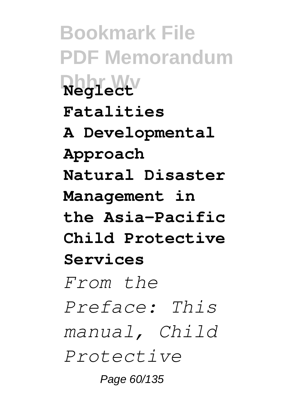**Bookmark File PDF Memorandum Dhhr Wv Neglect Fatalities A Developmental Approach Natural Disaster Management in the Asia-Pacific Child Protective Services** *From the Preface: This manual, Child Protective* Page 60/135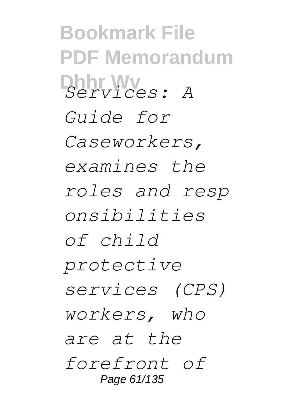**Bookmark File PDF Memorandum Dhhr Wv** *Services: A Guide for Caseworkers, examines the roles and resp onsibilities of child protective services (CPS) workers, who are at the forefront of* Page 61/135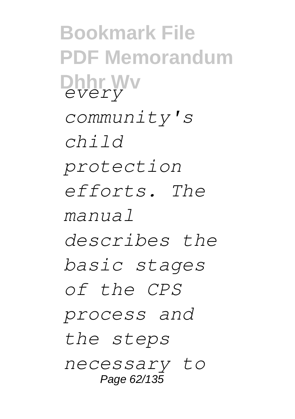**Bookmark File PDF Memorandum Dhhr Wv** *every community's child protection efforts. The manual describes the basic stages of the CPS process and the steps necessary to* Page 62/135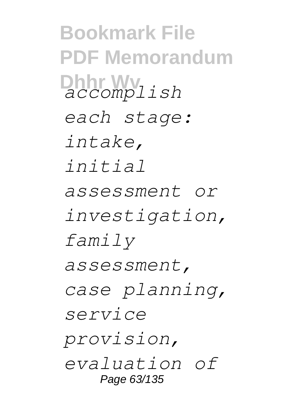**Bookmark File PDF Memorandum Dhhr Wv** *accomplish each stage: intake, initial assessment or investigation, family assessment, case planning, service provision, evaluation of* Page 63/135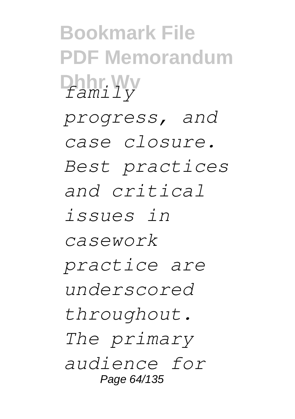**Bookmark File PDF Memorandum Dhhr Wv** *family progress, and case closure. Best practices and critical issues in casework practice are underscored throughout. The primary audience for* Page 64/135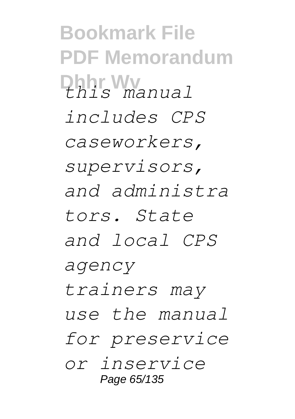**Bookmark File PDF Memorandum Dhhr Wv** *this manual includes CPS caseworkers, supervisors, and administra tors. State and local CPS agency trainers may use the manual for preservice or inservice* Page 65/135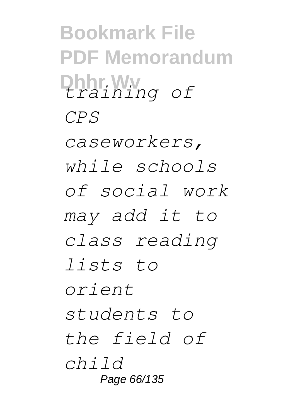**Bookmark File PDF Memorandum Dhhr Wv** *training of CPS*

*caseworkers, while schools of social work may add it to class reading lists to orient students to the field of child* Page 66/135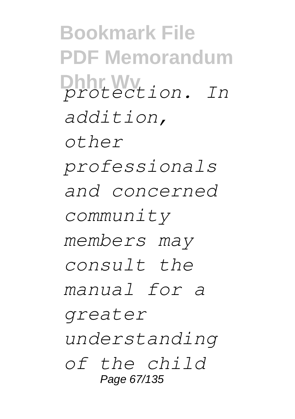**Bookmark File PDF Memorandum Dhhr Wv** *protection. In addition, other professionals and concerned community members may consult the manual for a greater understanding of the child* Page 67/135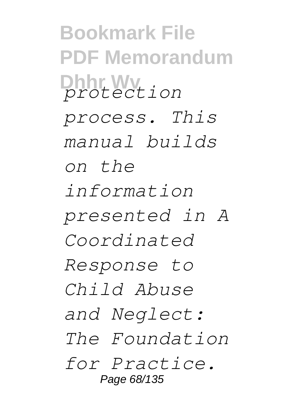**Bookmark File PDF Memorandum Dhhr Wv** *protection process. This manual builds on the information presented in A Coordinated Response to Child Abuse and Neglect: The Foundation for Practice.* Page 68/135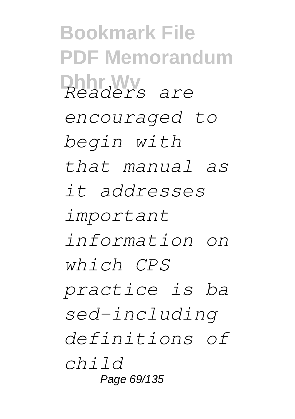**Bookmark File PDF Memorandum Dhhr Wv** *Readers are encouraged to begin with that manual as it addresses important information on which CPS practice is ba sed-including definitions of child* Page 69/135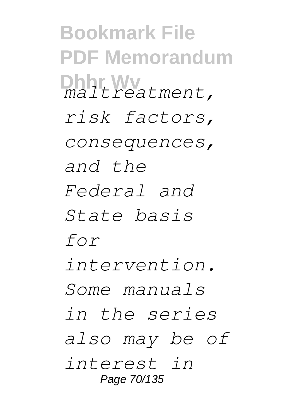**Bookmark File PDF Memorandum Dhhr Wv** *maltreatment, risk factors, consequences, and the Federal and State basis for intervention. Some manuals in the series also may be of interest in* Page 70/135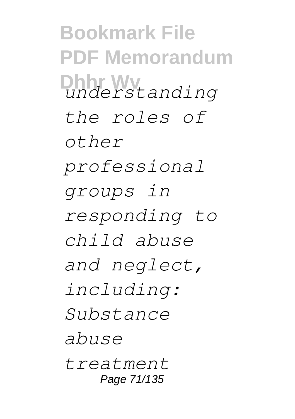**Bookmark File PDF Memorandum Dhhr Wv** *understanding the roles of other professional groups in responding to child abuse and neglect, including: Substance abuse treatment* Page 71/135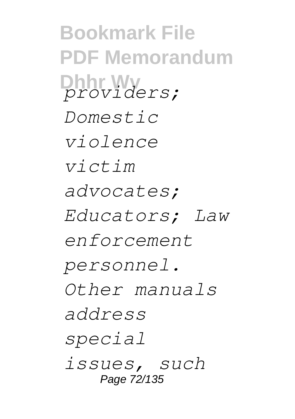**Bookmark File PDF Memorandum Dhhr Wv** *providers; Domestic violence victim advocates; Educators; Law enforcement personnel. Other manuals address special issues, such* Page 72/135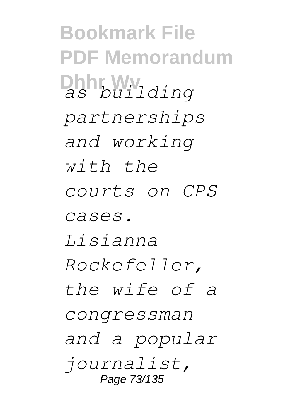**Bookmark File PDF Memorandum Dhhr Wv** *as building partnerships and working with the courts on CPS cases. Lisianna Rockefeller, the wife of a congressman and a popular journalist,* Page 73/135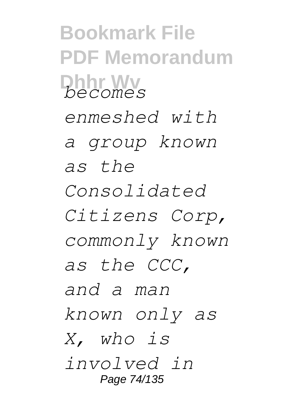**Bookmark File PDF Memorandum Dhhr Wv** *becomes enmeshed with a group known as the Consolidated Citizens Corp, commonly known as the CCC, and a man known only as X, who is involved in* Page 74/135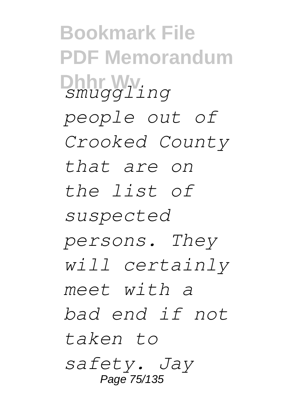**Bookmark File PDF Memorandum Dhhr Wv** *smuggling people out of Crooked County that are on the list of suspected persons. They will certainly meet with a bad end if not taken to safety. Jay* Page 75/135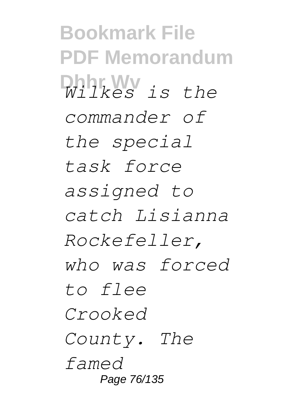**Bookmark File PDF Memorandum Dhhr Wv** *Wilkes is the commander of the special task force assigned to catch Lisianna Rockefeller, who was forced to flee Crooked County. The famed* Page 76/135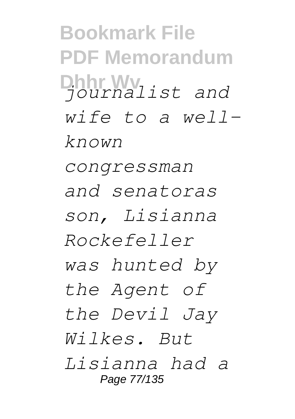**Bookmark File PDF Memorandum Dhhr Wv** *journalist and wife to a wellknown congressman and senatoras son, Lisianna Rockefeller was hunted by the Agent of the Devil Jay Wilkes. But Lisianna had a* Page 77/135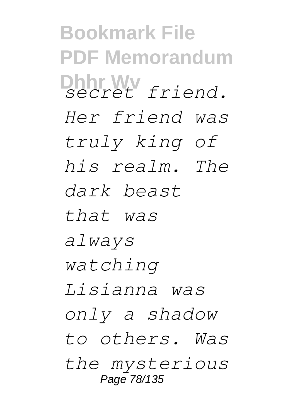**Bookmark File PDF Memorandum Dhhr Wv** *secret friend. Her friend was truly king of his realm. The dark beast that was always watching Lisianna was only a shadow to others. Was the mysterious* Page 78/135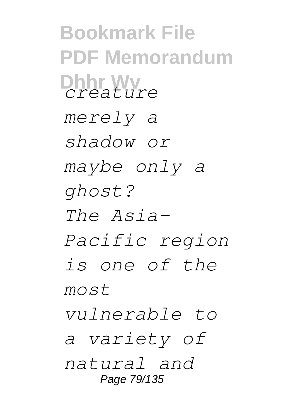**Bookmark File PDF Memorandum Dhhr Wv** *creature merely a shadow or maybe only a ghost? The Asia-Pacific region is one of the most vulnerable to a variety of natural and* Page 79/135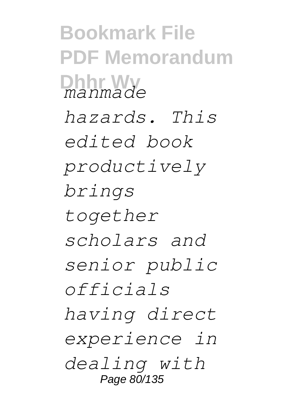**Bookmark File PDF Memorandum Dhhr Wv** *manmade hazards. This edited book productively brings together scholars and senior public officials having direct experience in dealing with* Page 80/135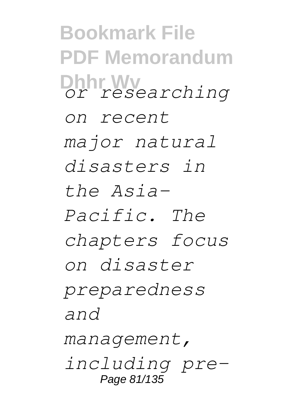**Bookmark File PDF Memorandum Dhhr Wv** *or researching on recent major natural disasters in the Asia-Pacific. The chapters focus on disaster preparedness and management, including pre-*Page 81/135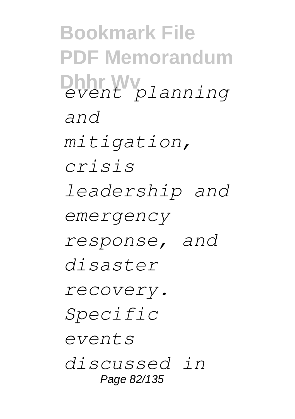**Bookmark File PDF Memorandum Dhhr Wv** *event planning and mitigation, crisis leadership and emergency response, and disaster recovery. Specific events discussed in* Page 82/135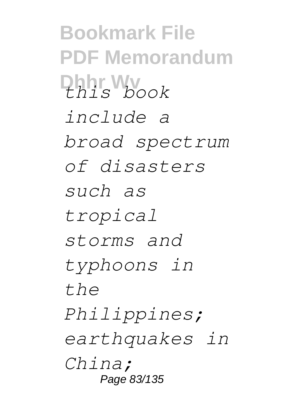**Bookmark File PDF Memorandum Dhhr Wv** *this book include a broad spectrum of disasters such as tropical storms and typhoons in the Philippines; earthquakes in China;* Page 83/135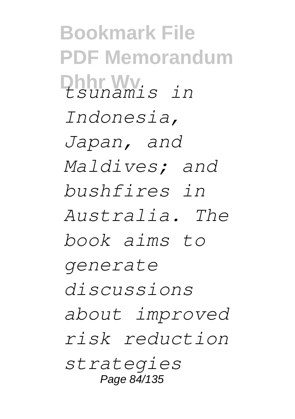**Bookmark File PDF Memorandum Dhhr Wv** *tsunamis in Indonesia, Japan, and Maldives; and bushfires in Australia. The book aims to generate discussions about improved risk reduction strategies* Page 84/135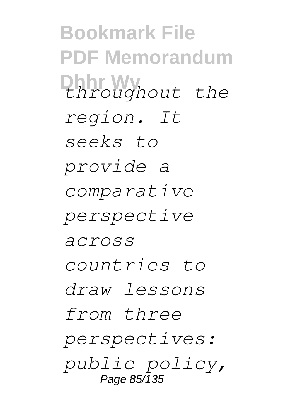**Bookmark File PDF Memorandum Dhhr Wv** *throughout the region. It seeks to provide a comparative perspective across countries to draw lessons from three perspectives: public policy,* Page 85/135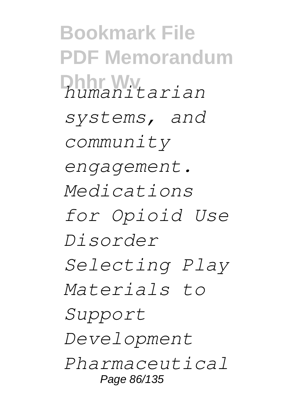**Bookmark File PDF Memorandum Dhhr Wv** *humanitarian systems, and community engagement. Medications for Opioid Use Disorder Selecting Play Materials to Support Development Pharmaceutical* Page 86/135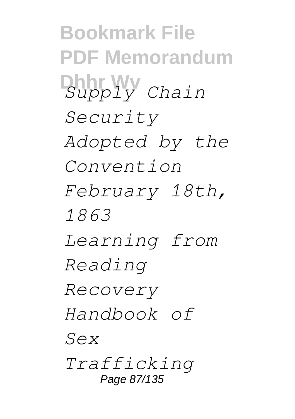**Bookmark File PDF Memorandum Dhhr Wv** *Supply Chain Security Adopted by the Convention February 18th, 1863 Learning from Reading Recovery Handbook of Sex Trafficking* Page 87/135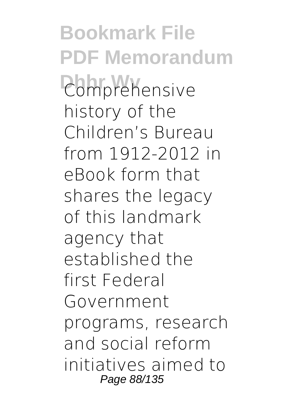**Bookmark File PDF Memorandum Comprehensive** history of the Children's Bureau from 1912-2012 in eBook form that shares the legacy of this landmark agency that established the first Federal Government programs, research and social reform initiatives aimed to Page 88/135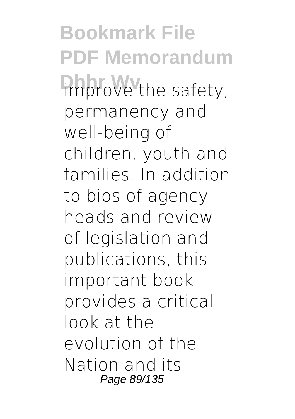**Bookmark File PDF Memorandum** improve the safety, permanency and well-being of children, youth and families. In addition to bios of agency heads and review of legislation and publications, this important book provides a critical look at the evolution of the Nation and its Page 89/135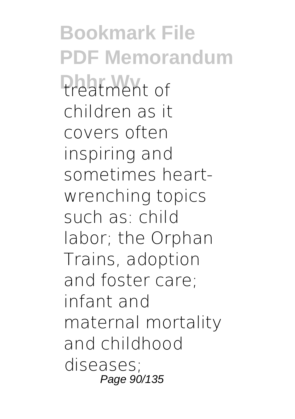**Bookmark File PDF Memorandum Preatment** of children as it covers often inspiring and sometimes heartwrenching topics such as: child labor; the Orphan Trains, adoption and foster care; infant and maternal mortality and childhood diseases; Page 90/135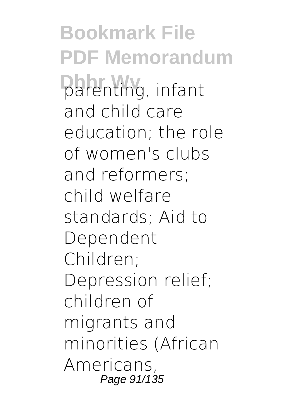**Bookmark File PDF Memorandum Darenting**, infant and child care education; the role of women's clubs and reformers; child welfare standards; Aid to Dependent Children; Depression relief; children of migrants and minorities (African Americans, Page 91/135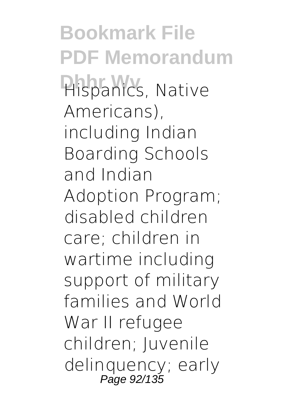**Bookmark File PDF Memorandum Hispanics, Native** Americans), including Indian Boarding Schools and Indian Adoption Program; disabled children care; children in wartime including support of military families and World War II refugee children; Juvenile delinquency; early Page 92/135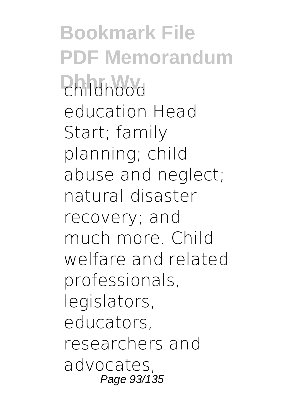**Bookmark File PDF Memorandum Phildhood** education Head Start; family planning; child abuse and neglect; natural disaster recovery; and much more. Child welfare and related professionals, legislators, educators, researchers and advocates, Page 93/135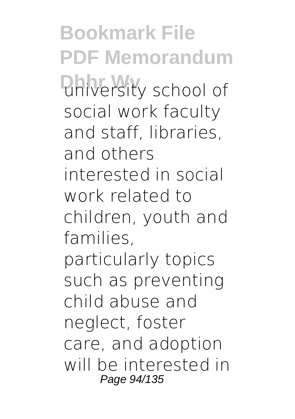**Bookmark File PDF Memorandum Dhiversity school of** social work faculty and staff, libraries, and others interested in social work related to children, youth and families, particularly topics such as preventing child abuse and neglect, foster care, and adoption will be interested in Page 94/135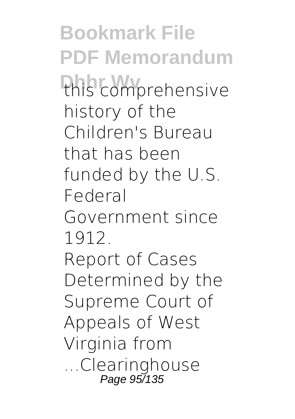**Bookmark File PDF Memorandum** this comprehensive history of the Children's Bureau that has been funded by the U.S. Federal Government since 1912. Report of Cases Determined by the Supreme Court of Appeals of West Virginia from ...Clearinghouse Page 95/135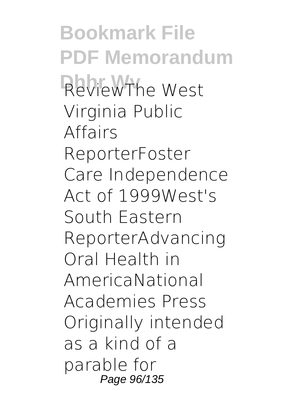**Bookmark File PDF Memorandum** ReviewThe West Virginia Public Affairs ReporterFoster Care Independence Act of 1999West's South Eastern ReporterAdvancing Oral Health in AmericaNational Academies Press Originally intended as a kind of a parable for Page 96/135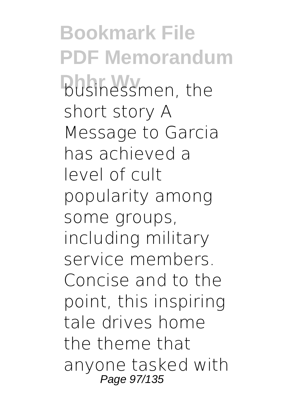**Bookmark File PDF Memorandum Dusinessmen**, the short story A Message to Garcia has achieved a level of cult popularity among some groups, including military service members. Concise and to the point, this inspiring tale drives home the theme that anyone tasked with Page 97/135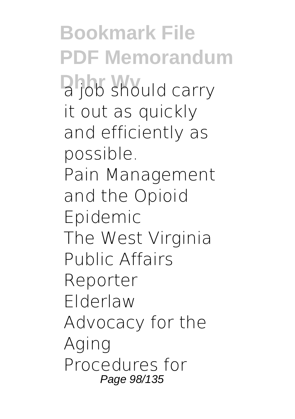**Bookmark File PDF Memorandum Dhob** should carry it out as quickly and efficiently as possible. Pain Management and the Opioid Epidemic The West Virginia Public Affairs Reporter Elderlaw Advocacy for the Aging Procedures for Page 98/135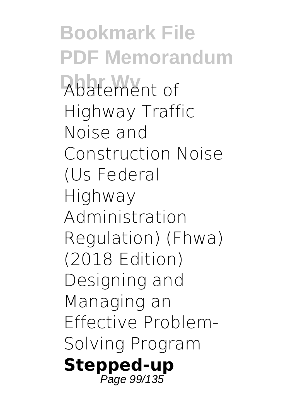**Bookmark File PDF Memorandum Abatement** of Highway Traffic Noise and Construction Noise (Us Federal Highway Administration Regulation) (Fhwa) (2018 Edition) Designing and Managing an Effective Problem-Solving Program **Stepped-up** Page 99/135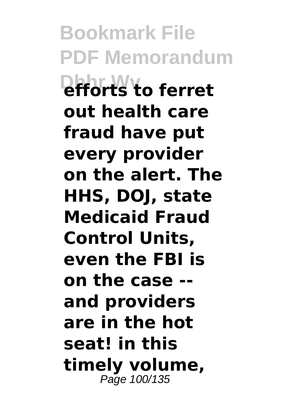**Bookmark File PDF Memorandum Dhhr Wv efforts to ferret out health care fraud have put every provider on the alert. The HHS, DOJ, state Medicaid Fraud Control Units, even the FBI is on the case - and providers are in the hot seat! in this timely volume,** Page 100/135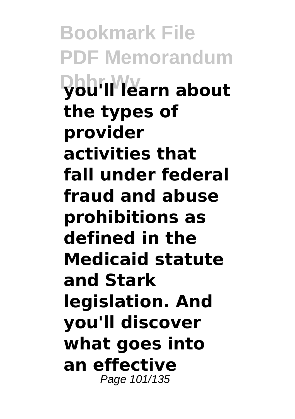**Bookmark File PDF Memorandum Dhhr Wv you'll learn about the types of provider activities that fall under federal fraud and abuse prohibitions as defined in the Medicaid statute and Stark legislation. And you'll discover what goes into an effective** Page 101/135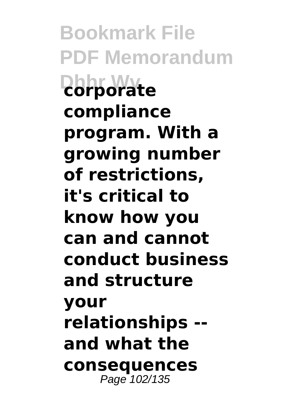**Bookmark File PDF Memorandum Dhhr Wv corporate compliance program. With a growing number of restrictions, it's critical to know how you can and cannot conduct business and structure your relationships - and what the consequences** Page 102/135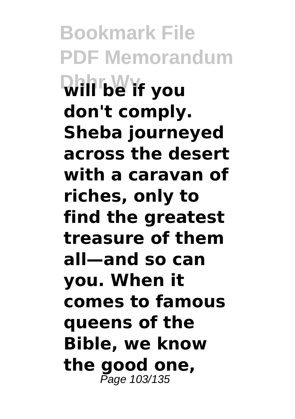**Bookmark File PDF Memorandum Will be if you don't comply. Sheba journeyed across the desert with a caravan of riches, only to find the greatest treasure of them all—and so can you. When it comes to famous queens of the Bible, we know the good one,** Page 103/135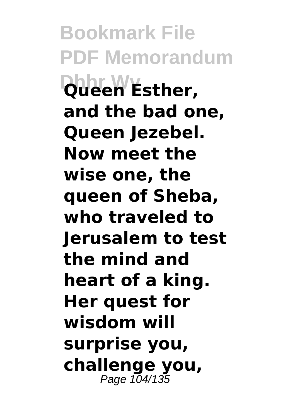**Bookmark File PDF Memorandum Dueen Esther, and the bad one, Queen Jezebel. Now meet the wise one, the queen of Sheba, who traveled to Jerusalem to test the mind and heart of a king. Her quest for wisdom will surprise you, challenge you,** Page 104/135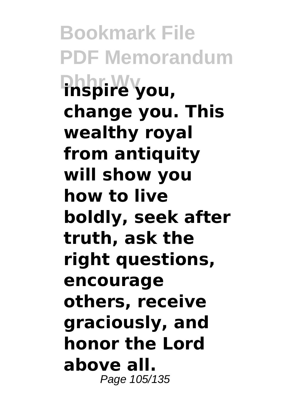**Bookmark File PDF Memorandum Dhhr Wv inspire you, change you. This wealthy royal from antiquity will show you how to live boldly, seek after truth, ask the right questions, encourage others, receive graciously, and honor the Lord above all.** Page 105/135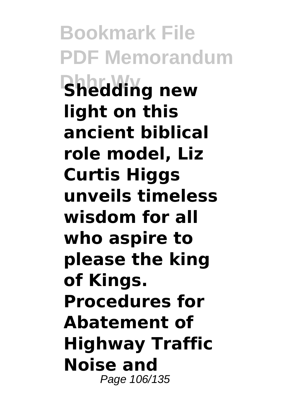**Bookmark File PDF Memorandum Shedding new light on this ancient biblical role model, Liz Curtis Higgs unveils timeless wisdom for all who aspire to please the king of Kings. Procedures for Abatement of Highway Traffic Noise and** Page 106/135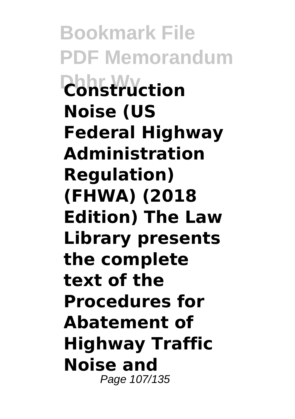**Bookmark File PDF Memorandum Dhhr Wv Construction Noise (US Federal Highway Administration Regulation) (FHWA) (2018 Edition) The Law Library presents the complete text of the Procedures for Abatement of Highway Traffic Noise and** Page 107/135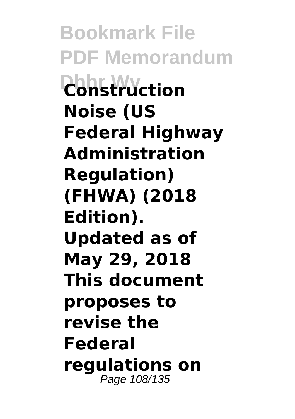**Bookmark File PDF Memorandum Dhhr Wv Construction Noise (US Federal Highway Administration Regulation) (FHWA) (2018 Edition). Updated as of May 29, 2018 This document proposes to revise the Federal regulations on** Page 108/135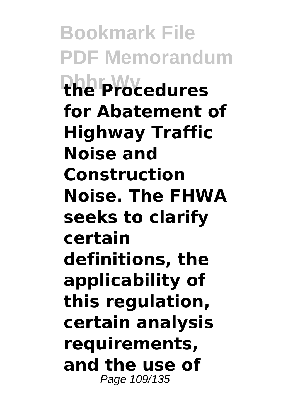**Bookmark File PDF Memorandum Dhhr Wv the Procedures for Abatement of Highway Traffic Noise and Construction Noise. The FHWA seeks to clarify certain definitions, the applicability of this regulation, certain analysis requirements, and the use of** Page 109/135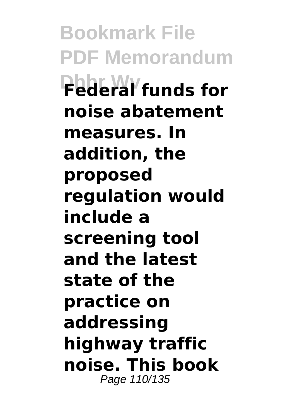**Bookmark File PDF Memorandum Dhhr Wv Federal funds for noise abatement measures. In addition, the proposed regulation would include a screening tool and the latest state of the practice on addressing highway traffic noise. This book** Page 110/135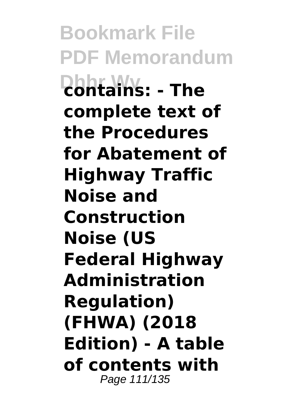**Bookmark File PDF Memorandum Dhhr Wv contains: - The complete text of the Procedures for Abatement of Highway Traffic Noise and Construction Noise (US Federal Highway Administration Regulation) (FHWA) (2018 Edition) - A table of contents with** Page 111/135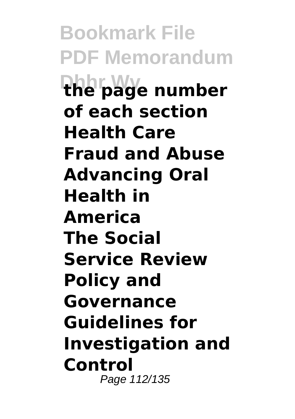**Bookmark File PDF Memorandum Dhhr Wv the page number of each section Health Care Fraud and Abuse Advancing Oral Health in America The Social Service Review Policy and Governance Guidelines for Investigation and Control** Page 112/135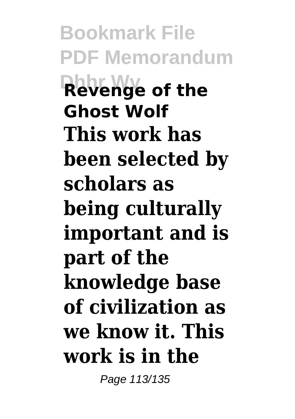**Bookmark File PDF Memorandum Revenge of the Ghost Wolf This work has been selected by scholars as being culturally important and is part of the knowledge base of civilization as we know it. This work is in the**

Page 113/135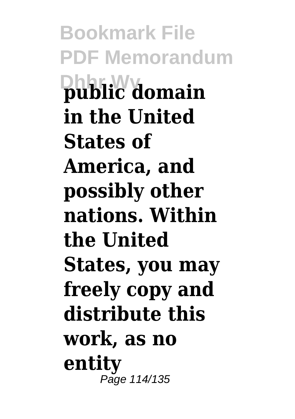**Bookmark File PDF Memorandum Dhhr Wv public domain in the United States of America, and possibly other nations. Within the United States, you may freely copy and distribute this work, as no entity** Page 114/135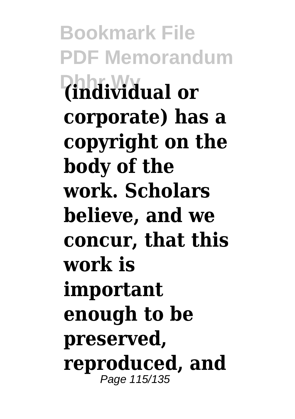**Bookmark File PDF Memorandum Dhhr Wv (individual or corporate) has a copyright on the body of the work. Scholars believe, and we concur, that this work is important enough to be preserved, reproduced, and** Page 115/135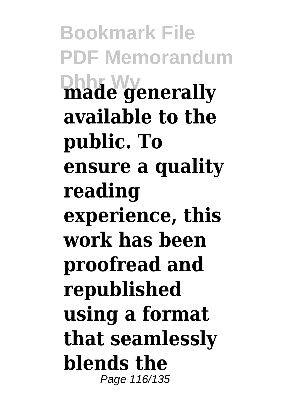**Bookmark File PDF Memorandum Dhhr Wv made generally available to the public. To ensure a quality reading experience, this work has been proofread and republished using a format that seamlessly blends the** Page 116/135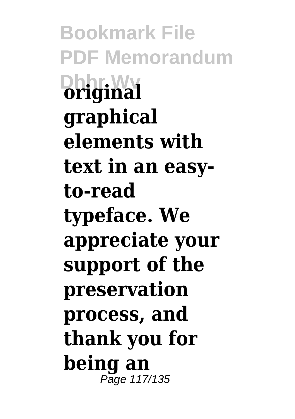**Bookmark File PDF Memorandum Dhiginal graphical elements with text in an easyto-read typeface. We appreciate your support of the preservation process, and thank you for being an** Page 117/135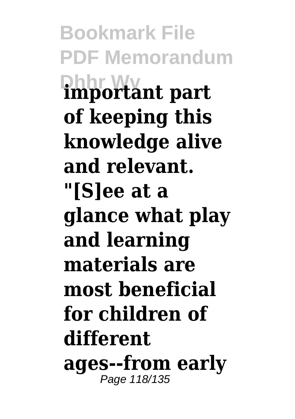**Bookmark File PDF Memorandum Dhhr Wv important part of keeping this knowledge alive and relevant. "[S]ee at a glance what play and learning materials are most beneficial for children of different ages--from early** Page 118/135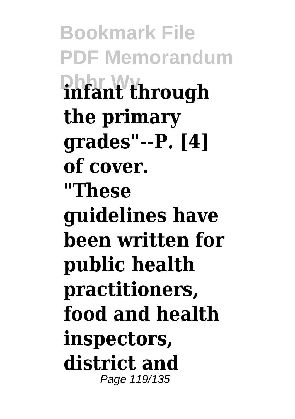**Bookmark File PDF Memorandum Dhhr Wv infant through the primary grades"--P. [4] of cover. "These guidelines have been written for public health practitioners, food and health inspectors, district and** Page 119/135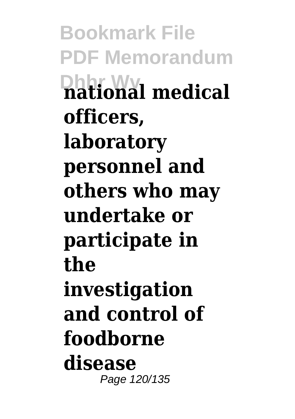**Bookmark File PDF Memorandum Dhhr Wv national medical officers, laboratory personnel and others who may undertake or participate in the investigation and control of foodborne disease** Page 120/135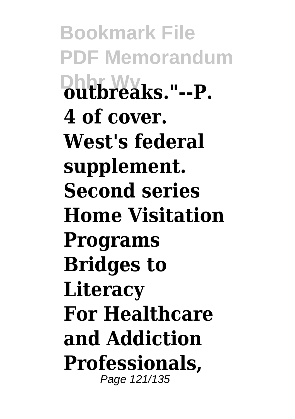**Bookmark File PDF Memorandum Dhhr Wv outbreaks."--P. 4 of cover. West's federal supplement. Second series Home Visitation Programs Bridges to Literacy For Healthcare and Addiction Professionals,** Page 121/135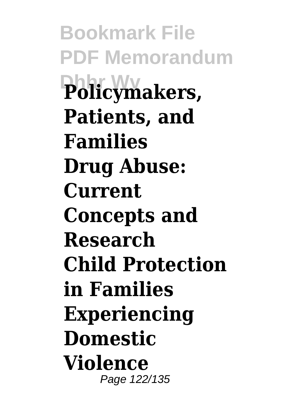**Bookmark File PDF Memorandum Dhhr Wv Policymakers, Patients, and Families Drug Abuse: Current Concepts and Research Child Protection in Families Experiencing Domestic Violence** Page 122/135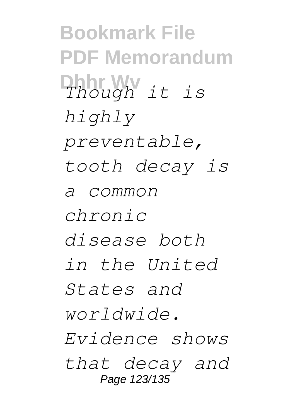**Bookmark File PDF Memorandum Dhhr Wv** *Though it is highly preventable, tooth decay is a common chronic disease both in the United States and worldwide. Evidence shows that decay and* Page 123/135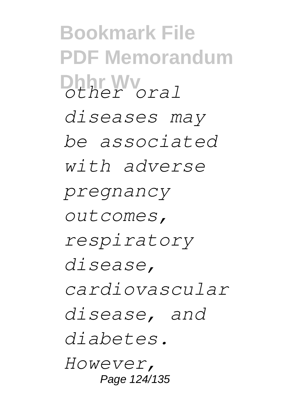**Bookmark File PDF Memorandum Dhhr Wv** *other oral diseases may be associated with adverse pregnancy outcomes, respiratory disease, cardiovascular disease, and diabetes. However,* Page 124/135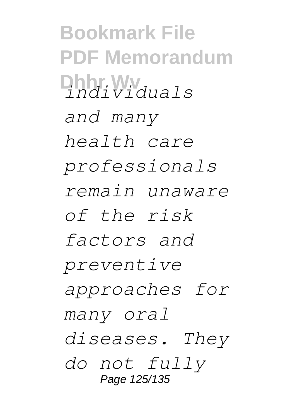**Bookmark File PDF Memorandum Dhhr Wv** *individuals and many health care professionals remain unaware of the risk factors and preventive approaches for many oral diseases. They do not fully* Page 125/135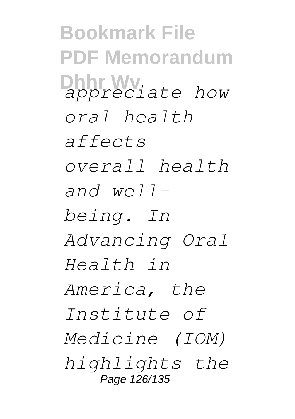**Bookmark File PDF Memorandum Dharrew** *appreciate* how *oral health affects overall health and wellbeing. In Advancing Oral Health in America, the Institute of Medicine (IOM) highlights the* Page 126/135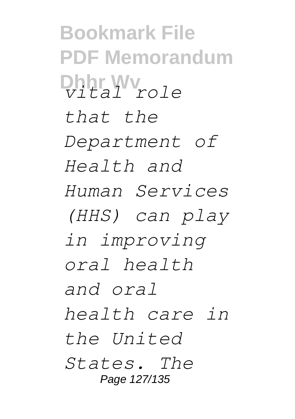**Bookmark File PDF Memorandum Dhhr Wv** *vital role that the Department of Health and Human Services (HHS) can play in improving oral health and oral health care in the United States. The* Page 127/135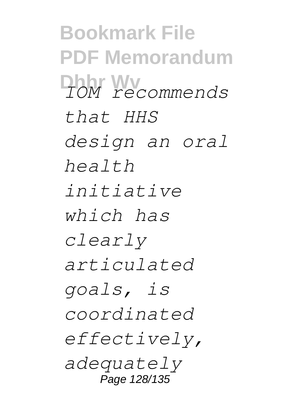**Bookmark File PDF Memorandum Dhhr Wv** *IOM recommends that HHS design an oral health initiative which has clearly articulated goals, is coordinated effectively, adequately* Page 128/135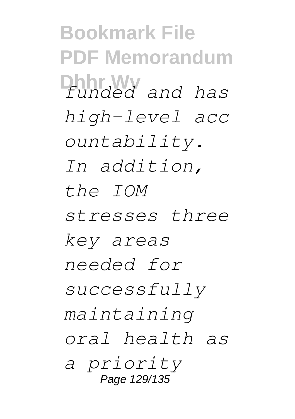**Bookmark File PDF Memorandum Dhhr Wv** *funded and has high-level acc ountability. In addition, the IOM stresses three key areas needed for successfully maintaining oral health as a priority* Page 129/135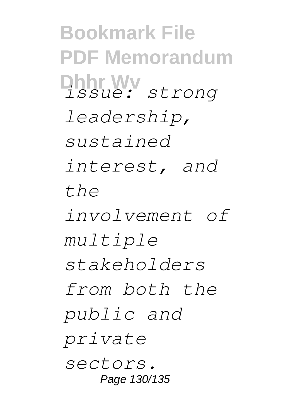**Bookmark File PDF Memorandum Dhhr Wv** *issue: strong leadership, sustained interest, and the involvement of multiple stakeholders from both the public and private sectors.* Page 130/135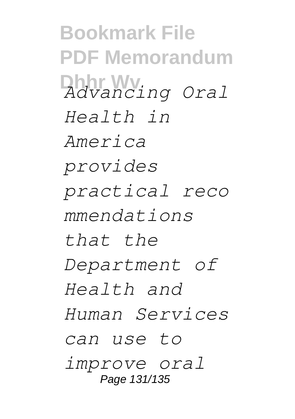**Bookmark File PDF Memorandum**  $A$ *dvancing Oral Health in America provides practical reco mmendations that the Department of Health and Human Services can use to improve oral* Page 131/135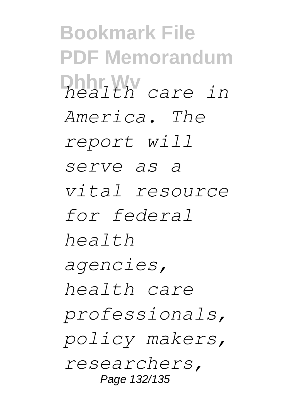**Bookmark File PDF Memorandum Dhhr Wv** *health care in America. The report will serve as a vital resource for federal health agencies, health care professionals, policy makers, researchers,* Page 132/135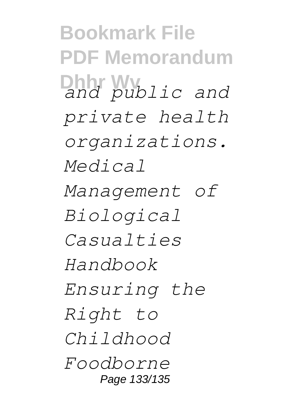**Bookmark File PDF Memorandum Dhhr** *public* and *private health organizations. Medical Management of Biological Casualties Handbook Ensuring the Right to Childhood Foodborne* Page 133/135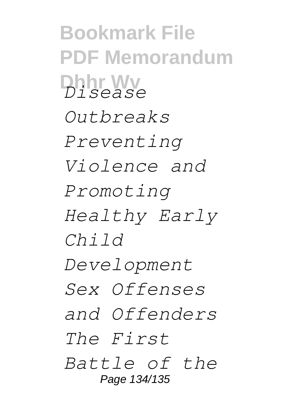**Bookmark File PDF Memorandum Dhhr Wv** *Disease Outbreaks Preventing Violence and Promoting Healthy Early Child Development Sex Offenses and Offenders The First Battle of the* Page 134/135